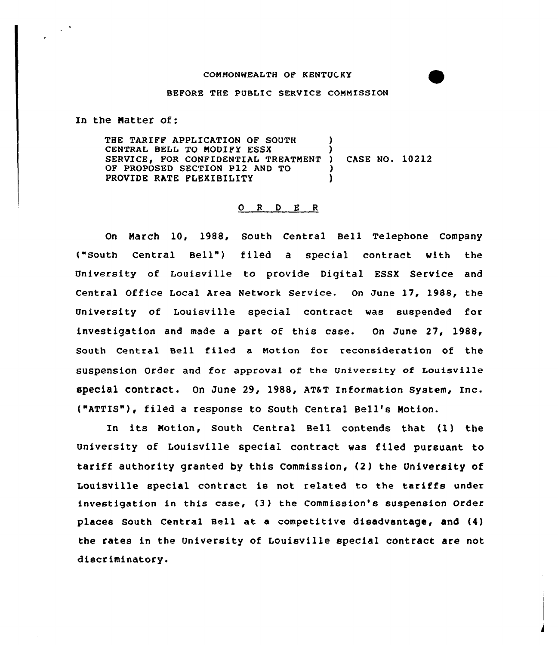## BEFORE THE PUBLIC SERVICE COMMISSION

In the Natter of:

 $\sim 10^{-4}$ 

THE TARIFF APPLICATION OF SOUTH CENTRAL BELL TO MODIFY ESSX SERVICE, FOR CONFIDENTIAL TREATMENT OF PROPOSED SECTION P12 AND TO PROVIDE RATE FLEXIBILITY ) ) ) CASE NO. 10212 ʻ )

## $O$  R D E R

On March 10, 1988, South Central Bell Telephone Company ("South Central Bell") filed a special contract with the University of Louisville to provide Digital ESSX Service and Central Office Local Area Network Service. On June 17, 1988, the University of Louisville special contract was suspended for investigation and made a part of this case. On June 27, l988, south central Bell filed a Motion for reconsideration of the suspension Order and for approval of the University of Louisville special contract. on June 29, 1988, AT&T Information system, Inc. ("ATTZS"), filed a response to South Central Bell's Notion.

In its Notion, South Central Bell contends that (1) the University of Louisville special contract was filed pursuant to tariff authority granted by this Commission, (2) the University of Louisville special contract is not related to the tariffs under investigation in this case, (3 ) the Commission'e suspension Order places South Central Bell at a competitive disadvantage, and  $(4)$ the rates in the University of Louisville special contract are not discriminatory.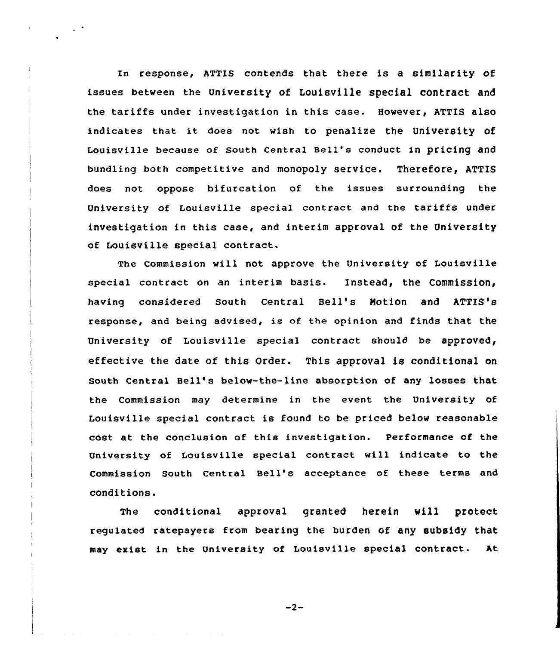In response, ATTIS contends that there is a similarity of issues between the University of Louisville special contract and the tariffs under investigation in this case. However, ATTIS also indicates that it does not wish to penalize the University of Louisville because of south central Bell's conduct in pricing and bundling both competitive and monopoly service. Therefore, ATTIS does not oppose bifurcation of the issues surrounding the University of Louisville special contract and the tariffs under investigation in this case, and interim approval of the University of Louisville special contract.

 $\ddot{\phantom{1}}$ 

The Commission will not approve the University of Louisville special contract on an interim basis. Instead, the Commission, having considered South Central Bell's Notion and ATTIS's response, and being advised, is of the opinion and finds that the University of Louisville special contract should be approved, effective the date of this Order. This approval is conditional on South Central Bell's below-the-line absorption of any losses that the Commission may determine in the event the University of Louisville special contract is found to be priced below reasonable cost at the conclusion of this investigation. Performance of the University of Louisville special contract will indicate to the Commission South Central Bell's acceptance of these terms and conditions.

The conditional approval granted herein will protect regulated ratepayers from bearing the burden of any subsidy that may exist in the University of Louisville special contract. ht

 $-2-$